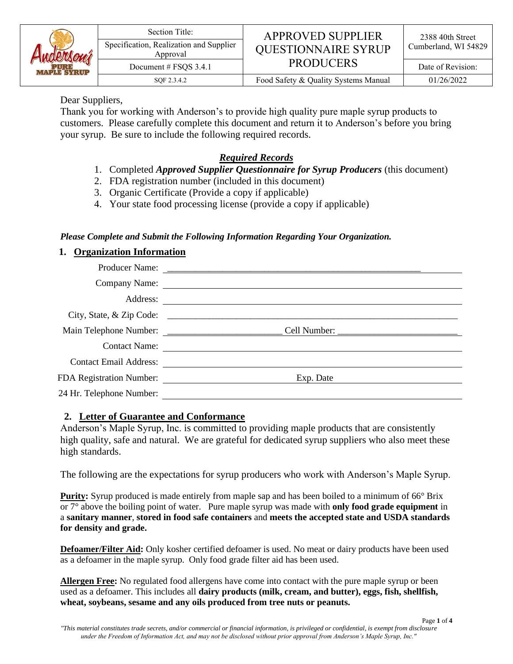

#### Section Title:<br>
Specification, Realization and Supplier<br>  $\overline{APPROVED}$  **APPROVED SUPPLIER** Specification, Realization and Supplier | QUESTIONNAIRE SYRUP | Cumberland, WI 54829 PRODUCERS Document # FSQS 3.4.1 PRODUCERS and Date of Revision:

SQF 2.3.4.2 Food Safety & Quality Systems Manual 01/26/2022

#### Dear Suppliers,

Thank you for working with Anderson's to provide high quality pure maple syrup products to customers. Please carefully complete this document and return it to Anderson's before you bring your syrup. Be sure to include the following required records.

## *Required Records*

- 1. Completed *Approved Supplier Questionnaire for Syrup Producers* (this document)
- 2. FDA registration number (included in this document)
- 3. Organic Certificate (Provide a copy if applicable)
- 4. Your state food processing license (provide a copy if applicable)

## *Please Complete and Submit the Following Information Regarding Your Organization.*

## **1. Organization Information**

|                          | Company Name:          |
|--------------------------|------------------------|
|                          |                        |
|                          |                        |
|                          |                        |
|                          | Contact Name:          |
|                          | Contact Email Address: |
|                          | Exp. Date              |
| 24 Hr. Telephone Number: |                        |
|                          |                        |

## **2. Letter of Guarantee and Conformance**

Anderson's Maple Syrup, Inc. is committed to providing maple products that are consistently high quality, safe and natural. We are grateful for dedicated syrup suppliers who also meet these high standards.

The following are the expectations for syrup producers who work with Anderson's Maple Syrup.

**Purity:** Syrup produced is made entirely from maple sap and has been boiled to a minimum of 66° Brix or 7° above the boiling point of water. Pure maple syrup was made with **only food grade equipment** in a **sanitary manner**, **stored in food safe containers** and **meets the accepted state and USDA standards for density and grade.**

**Defoamer/Filter Aid:** Only kosher certified defoamer is used. No meat or dairy products have been used as a defoamer in the maple syrup. Only food grade filter aid has been used.

**Allergen Free:** No regulated food allergens have come into contact with the pure maple syrup or been used as a defoamer. This includes all **dairy products (milk, cream, and butter), eggs, fish, shellfish, wheat, soybeans, sesame and any oils produced from tree nuts or peanuts.**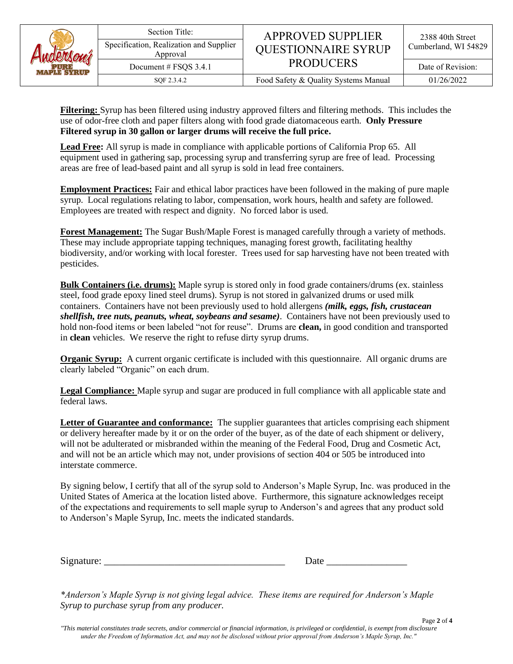| Auderson |
|----------|
|----------|

Approval Document # FSQS 3.4.1 PRODUCERS and Date of Revision:

SQF 2.3.4.2 Food Safety & Quality Systems Manual 01/26/2022

**Filtering:** Syrup has been filtered using industry approved filters and filtering methods. This includes the use of odor-free cloth and paper filters along with food grade diatomaceous earth. **Only Pressure Filtered syrup in 30 gallon or larger drums will receive the full price.**

**Lead Free:** All syrup is made in compliance with applicable portions of California Prop 65. All equipment used in gathering sap, processing syrup and transferring syrup are free of lead. Processing areas are free of lead-based paint and all syrup is sold in lead free containers.

**Employment Practices:** Fair and ethical labor practices have been followed in the making of pure maple syrup. Local regulations relating to labor, compensation, work hours, health and safety are followed. Employees are treated with respect and dignity. No forced labor is used.

**Forest Management:** The Sugar Bush/Maple Forest is managed carefully through a variety of methods. These may include appropriate tapping techniques, managing forest growth, facilitating healthy biodiversity, and/or working with local forester. Trees used for sap harvesting have not been treated with pesticides.

**Bulk Containers (i.e. drums):** Maple syrup is stored only in food grade containers/drums (ex. stainless steel, food grade epoxy lined steel drums). Syrup is not stored in galvanized drums or used milk containers. Containers have not been previously used to hold allergens *(milk, eggs, fish, crustacean shellfish, tree nuts, peanuts, wheat, soybeans and sesame)*. Containers have not been previously used to hold non-food items or been labeled "not for reuse". Drums are **clean,** in good condition and transported in **clean** vehicles. We reserve the right to refuse dirty syrup drums.

**Organic Syrup:** A current organic certificate is included with this questionnaire. All organic drums are clearly labeled "Organic" on each drum.

**Legal Compliance:** Maple syrup and sugar are produced in full compliance with all applicable state and federal laws.

**Letter of Guarantee and conformance:** The supplier guarantees that articles comprising each shipment or delivery hereafter made by it or on the order of the buyer, as of the date of each shipment or delivery, will not be adulterated or misbranded within the meaning of the Federal Food, Drug and Cosmetic Act, and will not be an article which may not, under provisions of section 404 or 505 be introduced into interstate commerce.

By signing below, I certify that all of the syrup sold to Anderson's Maple Syrup, Inc. was produced in the United States of America at the location listed above. Furthermore, this signature acknowledges receipt of the expectations and requirements to sell maple syrup to Anderson's and agrees that any product sold to Anderson's Maple Syrup, Inc. meets the indicated standards.

 $Signature:$ 

| Date |  |  |
|------|--|--|
|      |  |  |

*\*Anderson's Maple Syrup is not giving legal advice. These items are required for Anderson's Maple Syrup to purchase syrup from any producer.*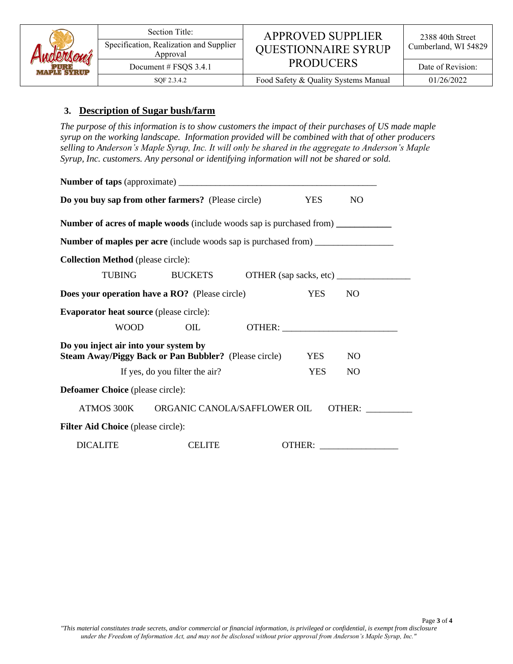

# Specification, Realization and Supplier | QUESTIONNAIRE SYRUP | Cumberland, WI 54829 PRODUCERS Document # FSQS 3.4.1 | **PKUDUCEKS** | Date of Revision:

SQF 2.3.4.2 Food Safety & Quality Systems Manual 01/26/2022

#### **3. Description of Sugar bush/farm**

*The purpose of this information is to show customers the impact of their purchases of US made maple syrup on the working landscape. Information provided will be combined with that of other producers selling to Anderson's Maple Syrup, Inc. It will only be shared in the aggregate to Anderson's Maple Syrup, Inc. customers. Any personal or identifying information will not be shared or sold.*

| Do you buy sap from other farmers? (Please circle) |                                                                                         |            | N <sub>O</sub>  |
|----------------------------------------------------|-----------------------------------------------------------------------------------------|------------|-----------------|
|                                                    | <b>Number of acres of maple woods</b> (include woods sap is purchased from)             |            |                 |
|                                                    | <b>Number of maples per acre</b> (include woods sap is purchased from) ________________ |            |                 |
| <b>Collection Method</b> (please circle):          |                                                                                         |            |                 |
| <b>TUBING</b>                                      | <b>BUCKETS</b>                                                                          |            |                 |
|                                                    | Does your operation have a RO? (Please circle)                                          | <b>YES</b> | N <sub>O</sub>  |
| <b>Evaporator heat source (please circle):</b>     |                                                                                         |            |                 |
| <b>WOOD</b>                                        | OIL                                                                                     |            |                 |
| Do you inject air into your system by              | <b>Steam Away/Piggy Back or Pan Bubbler?</b> (Please circle)                            | <b>YES</b> | N <sub>O</sub>  |
|                                                    | If yes, do you filter the air?                                                          | <b>YES</b> | NO <sub>1</sub> |
| <b>Defoamer Choice</b> (please circle):            |                                                                                         |            |                 |
| ATMOS 300K                                         | ORGANIC CANOLA/SAFFLOWER OIL                                                            |            | OTHER:          |
| <b>Filter Aid Choice</b> (please circle):          |                                                                                         |            |                 |
| <b>DICALITE</b>                                    | <b>CELITE</b>                                                                           |            | <b>OTHER:</b>   |